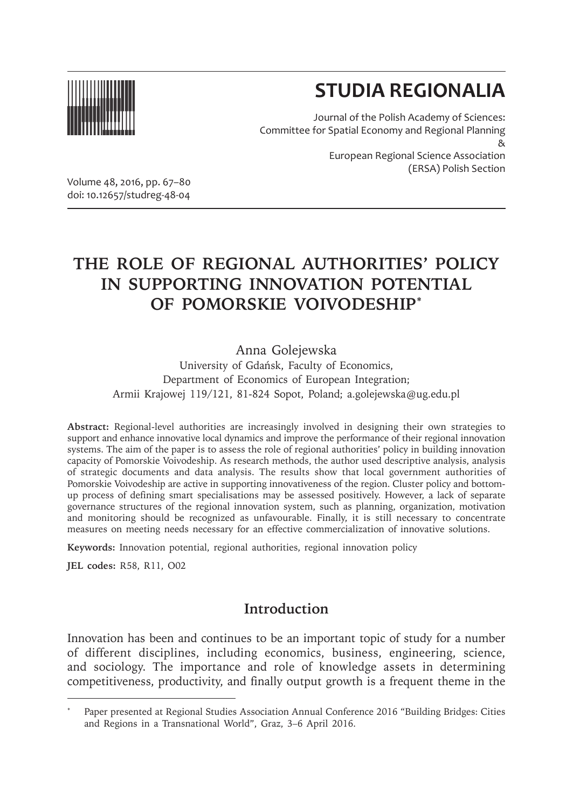

# **STUDIA REGIONALIA**

(ERSA) Polish Section

Journal of the Polish Academy of Sciences: Committee for Spatial Economy and Regional Planning & European Regional Science Association

Volume 48, 2016, pp. 67–80 doi: 10.12657/studreg-48-04

## **THE ROLE OF REGIONAL AUTHORITIES' POLICY IN SUPPORTING INNOVATION POTENTIAL OF POMORSKIE VOIVODESHIP\***

Anna Golejewska

University of Gdańsk, Faculty of Economics, Department of Economics of European Integration; Armii Krajowej 119/121, 81-824 Sopot, Poland; a.golejewska@ug.edu.pl

**Abstract:** Regional-level authorities are increasingly involved in designing their own strategies to support and enhance innovative local dynamics and improve the performance of their regional innovation systems. The aim of the paper is to assess the role of regional authorities' policy in building innovation capacity of Pomorskie Voivodeship. As research methods, the author used descriptive analysis, analysis of strategic documents and data analysis. The results show that local government authorities of Pomorskie Voivodeship are active in supporting innovativeness of the region. Cluster policy and bottomup process of defining smart specialisations may be assessed positively. However, a lack of separate governance structures of the regional innovation system, such as planning, organization, motivation and monitoring should be recognized as unfavourable. Finally, it is still necessary to concentrate measures on meeting needs necessary for an effective commercialization of innovative solutions.

**Keywords:** Innovation potential, regional authorities, regional innovation policy

**JEL codes:** R58, R11, O02

## **Introduction**

Innovation has been and continues to be an important topic of study for a number of different disciplines, including economics, business, engineering, science, and sociology. The importance and role of knowledge assets in determining competitiveness, productivity, and finally output growth is a frequent theme in the

<sup>\*</sup> Paper presented at Regional Studies Association Annual Conference 2016 "Building Bridges: Cities and Regions in a Transnational World", Graz, 3–6 April 2016.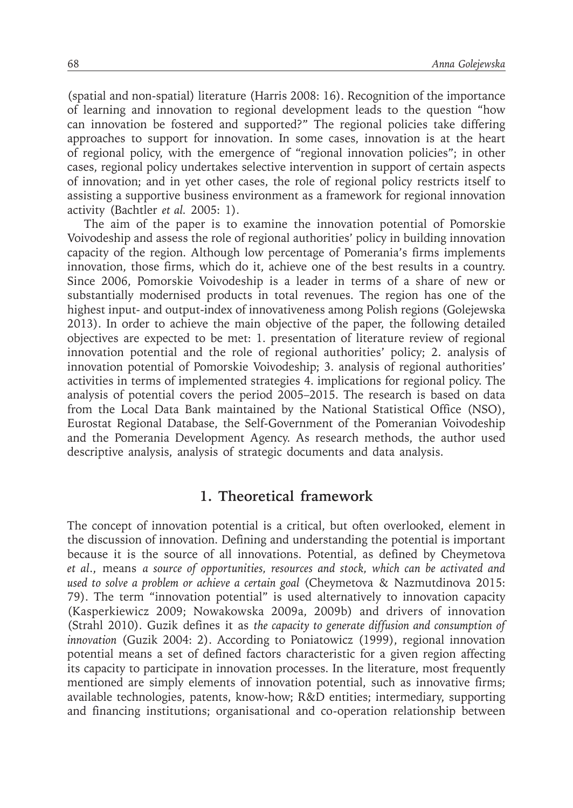(spatial and non-spatial) literature (Harris 2008: 16). Recognition of the importance of learning and innovation to regional development leads to the question "how can innovation be fostered and supported?" The regional policies take differing approaches to support for innovation. In some cases, innovation is at the heart of regional policy, with the emergence of "regional innovation policies"; in other cases, regional policy undertakes selective intervention in support of certain aspects of innovation; and in yet other cases, the role of regional policy restricts itself to assisting a supportive business environment as a framework for regional innovation activity (Bachtler *et al.* 2005: 1).

The aim of the paper is to examine the innovation potential of Pomorskie Voivodeship and assess the role of regional authorities' policy in building innovation capacity of the region. Although low percentage of Pomerania's firms implements innovation, those firms, which do it, achieve one of the best results in a country. Since 2006, Pomorskie Voivodeship is a leader in terms of a share of new or substantially modernised products in total revenues. The region has one of the highest input- and output-index of innovativeness among Polish regions (Golejewska 2013). In order to achieve the main objective of the paper, the following detailed objectives are expected to be met: 1. presentation of literature review of regional innovation potential and the role of regional authorities' policy; 2. analysis of innovation potential of Pomorskie Voivodeship; 3. analysis of regional authorities' activities in terms of implemented strategies 4. implications for regional policy. The analysis of potential covers the period 2005–2015. The research is based on data from the Local Data Bank maintained by the National Statistical Office (NSO), Eurostat Regional Database, the Self-Government of the Pomeranian Voivodeship and the Pomerania Development Agency. As research methods, the author used descriptive analysis, analysis of strategic documents and data analysis.

#### **1. Theoretical framework**

The concept of innovation potential is a critical, but often overlooked, element in the discussion of innovation. Defining and understanding the potential is important because it is the source of all innovations. Potential, as defined by Cheymetova *et al*., means *a source of opportunities, resources and stock, which can be activated and used to solve a problem or achieve a certain goal* (Cheymetova & Nazmutdinova 2015: 79). The term "innovation potential" is used alternatively to innovation capacity (Kasperkiewicz 2009; Nowakowska 2009a, 2009b) and drivers of innovation (Strahl 2010). Guzik defines it as *the capacity to generate diffusion and consumption of innovation* (Guzik 2004: 2). According to Poniatowicz (1999), regional innovation potential means a set of defined factors characteristic for a given region affecting its capacity to participate in innovation processes. In the literature, most frequently mentioned are simply elements of innovation potential, such as innovative firms; available technologies, patents, know-how; R&D entities; intermediary, supporting and financing institutions; organisational and co-operation relationship between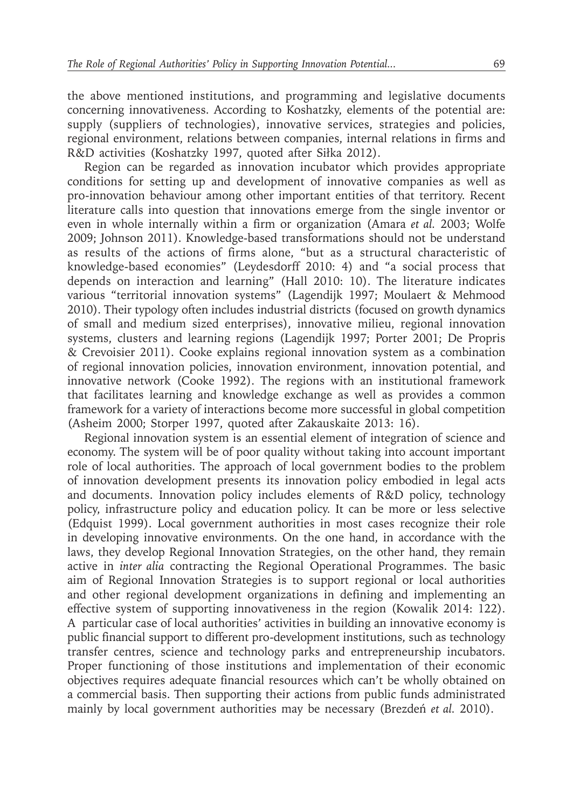the above mentioned institutions, and programming and legislative documents concerning innovativeness. According to Koshatzky, elements of the potential are: supply (suppliers of technologies), innovative services, strategies and policies, regional environment, relations between companies, internal relations in firms and R&D activities (Koshatzky 1997, quoted after Siłka 2012).

Region can be regarded as innovation incubator which provides appropriate conditions for setting up and development of innovative companies as well as pro-innovation behaviour among other important entities of that territory. Recent literature calls into question that innovations emerge from the single inventor or even in whole internally within a firm or organization (Amara *et al.* 2003; Wolfe 2009; Johnson 2011). Knowledge-based transformations should not be understand as results of the actions of firms alone, "but as a structural characteristic of knowledge-based economies" (Leydesdorff 2010: 4) and "a social process that depends on interaction and learning" (Hall 2010: 10). The literature indicates various "territorial innovation systems" (Lagendijk 1997; Moulaert & Mehmood 2010). Their typology often includes industrial districts (focused on growth dynamics of small and medium sized enterprises), innovative milieu, regional innovation systems, clusters and learning regions (Lagendijk 1997; Porter 2001; De Propris & Crevoisier 2011). Cooke explains regional innovation system as a combination of regional innovation policies, innovation environment, innovation potential, and innovative network (Cooke 1992). The regions with an institutional framework that facilitates learning and knowledge exchange as well as provides a common framework for a variety of interactions become more successful in global competition (Asheim 2000; Storper 1997, quoted after Zakauskaite 2013: 16).

Regional innovation system is an essential element of integration of science and economy. The system will be of poor quality without taking into account important role of local authorities. The approach of local government bodies to the problem of innovation development presents its innovation policy embodied in legal acts and documents. Innovation policy includes elements of R&D policy, technology policy, infrastructure policy and education policy. It can be more or less selective (Edquist 1999). Local government authorities in most cases recognize their role in developing innovative environments. On the one hand, in accordance with the laws, they develop Regional Innovation Strategies, on the other hand, they remain active in *inter alia* contracting the Regional Operational Programmes. The basic aim of Regional Innovation Strategies is to support regional or local authorities and other regional development organizations in defining and implementing an effective system of supporting innovativeness in the region (Kowalik 2014: 122). A particular case of local authorities' activities in building an innovative economy is public financial support to different pro-development institutions, such as technology transfer centres, science and technology parks and entrepreneurship incubators. Proper functioning of those institutions and implementation of their economic objectives requires adequate financial resources which can't be wholly obtained on a commercial basis. Then supporting their actions from public funds administrated mainly by local government authorities may be necessary (Brezdeń *et al.* 2010).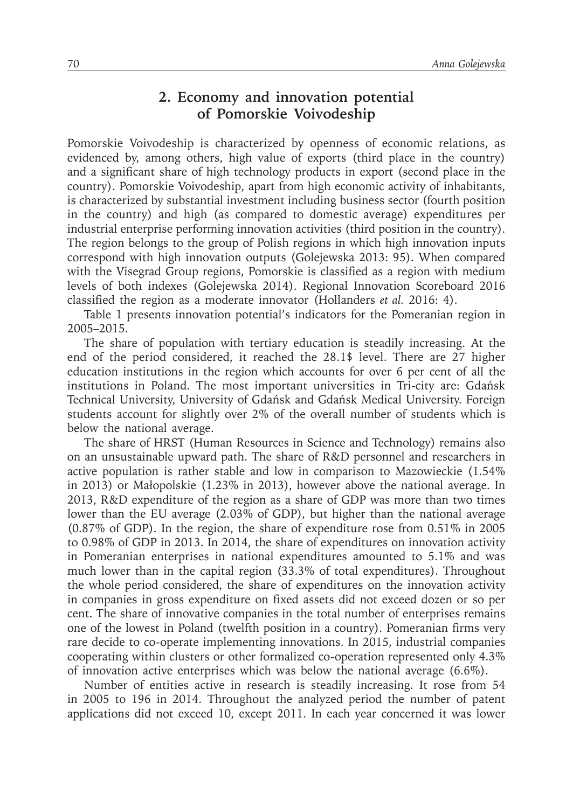## **2. Economy and innovation potential of Pomorskie Voivodeship**

Pomorskie Voivodeship is characterized by openness of economic relations, as evidenced by, among others, high value of exports (third place in the country) and a significant share of high technology products in export (second place in the country). Pomorskie Voivodeship, apart from high economic activity of inhabitants, is characterized by substantial investment including business sector (fourth position in the country) and high (as compared to domestic average) expenditures per industrial enterprise performing innovation activities (third position in the country). The region belongs to the group of Polish regions in which high innovation inputs correspond with high innovation outputs (Golejewska 2013: 95). When compared with the Visegrad Group regions, Pomorskie is classified as a region with medium levels of both indexes (Golejewska 2014). Regional Innovation Scoreboard 2016 classified the region as a moderate innovator (Hollanders *et al.* 2016: 4).

Table 1 presents innovation potential's indicators for the Pomeranian region in 2005–2015.

The share of population with tertiary education is steadily increasing. At the end of the period considered, it reached the 28.1\$ level. There are 27 higher education institutions in the region which accounts for over 6 per cent of all the institutions in Poland. The most important universities in Tri-city are: Gdańsk Technical University, University of Gdańsk and Gdańsk Medical University. Foreign students account for slightly over 2% of the overall number of students which is below the national average.

The share of HRST (Human Resources in Science and Technology) remains also on an unsustainable upward path. The share of R&D personnel and researchers in active population is rather stable and low in comparison to Mazowieckie (1.54% in 2013) or Małopolskie (1.23% in 2013), however above the national average. In 2013, R&D expenditure of the region as a share of GDP was more than two times lower than the EU average (2.03% of GDP), but higher than the national average (0.87% of GDP). In the region, the share of expenditure rose from 0.51% in 2005 to 0.98% of GDP in 2013. In 2014, the share of expenditures on innovation activity in Pomeranian enterprises in national expenditures amounted to 5.1% and was much lower than in the capital region (33.3% of total expenditures). Throughout the whole period considered, the share of expenditures on the innovation activity in companies in gross expenditure on fixed assets did not exceed dozen or so per cent. The share of innovative companies in the total number of enterprises remains one of the lowest in Poland (twelfth position in a country). Pomeranian firms very rare decide to co-operate implementing innovations. In 2015, industrial companies cooperating within clusters or other formalized co-operation represented only 4.3% of innovation active enterprises which was below the national average (6.6%).

Number of entities active in research is steadily increasing. It rose from 54 in 2005 to 196 in 2014. Throughout the analyzed period the number of patent applications did not exceed 10, except 2011. In each year concerned it was lower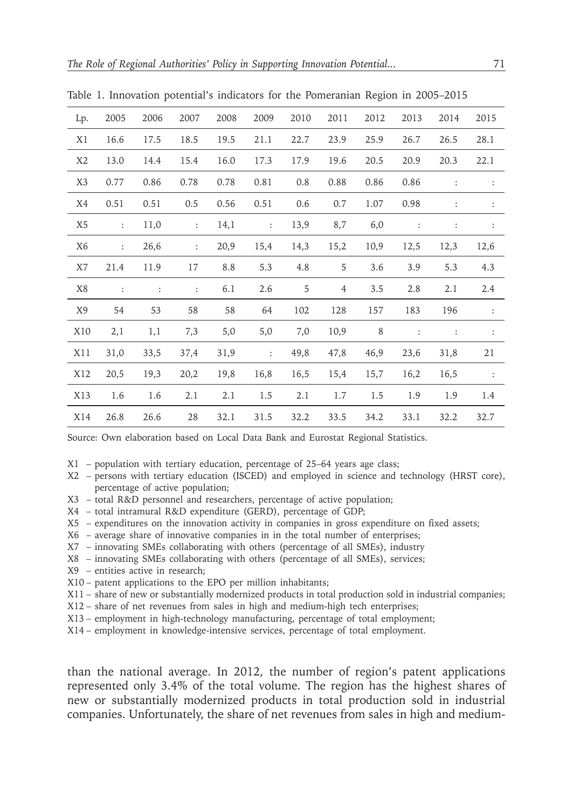|                |                        |                |                      |      | $\checkmark$   |      |      |      |      |                |                |
|----------------|------------------------|----------------|----------------------|------|----------------|------|------|------|------|----------------|----------------|
| Lp.            | 2005                   | 2006           | 2007                 | 2008 | 2009           | 2010 | 2011 | 2012 | 2013 | 2014           | 2015           |
| X1             | 16.6                   | 17.5           | 18.5                 | 19.5 | 21.1           | 22.7 | 23.9 | 25.9 | 26.7 | 26.5           | 28.1           |
| X <sub>2</sub> | 13.0                   | 14.4           | 15.4                 | 16.0 | 17.3           | 17.9 | 19.6 | 20.5 | 20.9 | 20.3           | 22.1           |
| X <sub>3</sub> | 0.77                   | 0.86           | 0.78                 | 0.78 | 0.81           | 0.8  | 0.88 | 0.86 | 0.86 | :              | $\ddot{\cdot}$ |
| X4             | 0.51                   | 0.51           | 0.5                  | 0.56 | 0.51           | 0.6  | 0.7  | 1.07 | 0.98 | $\ddot{\cdot}$ | $\ddot{\cdot}$ |
| X5             | $\ddot{\phantom{a}}$   | 11,0           | $\div$               | 14,1 | $\ddot{\cdot}$ | 13,9 | 8,7  | 6,0  | :    | :              | $\ddot{\cdot}$ |
| X6             | $\ddot{\phantom{a}}$ . | 26,6           | $\ddot{\phantom{a}}$ | 20,9 | 15,4           | 14,3 | 15,2 | 10,9 | 12,5 | 12,3           | 12,6           |
| X7             | 21.4                   | 11.9           | 17                   | 8.8  | 5.3            | 4.8  | 5    | 3.6  | 3.9  | 5.3            | 4.3            |
| X8             | ÷                      | $\ddot{\cdot}$ | $\ddot{\cdot}$       | 6.1  | 2.6            | 5    | 4    | 3.5  | 2.8  | 2.1            | 2.4            |
| X9             | 54                     | 53             | 58                   | 58   | 64             | 102  | 128  | 157  | 183  | 196            | $\ddot{\cdot}$ |
| X10            | 2,1                    | 1,1            | 7,3                  | 5,0  | 5,0            | 7,0  | 10,9 | 8    | :    | $\ddot{\cdot}$ | $\ddot{\cdot}$ |
| X11            | 31,0                   | 33,5           | 37,4                 | 31,9 | :              | 49,8 | 47,8 | 46,9 | 23,6 | 31,8           | 21             |
| X12            | 20,5                   | 19,3           | 20,2                 | 19,8 | 16,8           | 16,5 | 15,4 | 15,7 | 16,2 | 16,5           | $\ddot{\cdot}$ |
| X13            | 1.6                    | 1.6            | 2.1                  | 2.1  | 1.5            | 2.1  | 1.7  | 1.5  | 1.9  | 1.9            | 1.4            |
| X14            | 26.8                   | 26.6           | 28                   | 32.1 | 31.5           | 32.2 | 33.5 | 34.2 | 33.1 | 32.2           | 32.7           |

Table 1. Innovation potential's indicators for the Pomeranian Region in 2005–2015

Source: Own elaboration based on Local Data Bank and Eurostat Regional Statistics.

X1 – population with tertiary education, percentage of 25–64 years age class;

- X2 persons with tertiary education (ISCED) and employed in science and technology (HRST core), percentage of active population;
- X3 total R&D personnel and researchers, percentage of active population;
- X4 total intramural R&D expenditure (GERD), percentage of GDP;
- X5 expenditures on the innovation activity in companies in gross expenditure on fixed assets;
- X6 average share of innovative companies in in the total number of enterprises;
- X7 innovating SMEs collaborating with others (percentage of all SMEs), industry
- X8 innovating SMEs collaborating with others (percentage of all SMEs), services;
- X9 entities active in research;
- X10 patent applications to the EPO per million inhabitants;
- X11 share of new or substantially modernized products in total production sold in industrial companies;
- X12 share of net revenues from sales in high and medium-high tech enterprises;
- X13 employment in high-technology manufacturing, percentage of total employment;
- X14 employment in knowledge-intensive services, percentage of total employment.

than the national average. In 2012, the number of region's patent applications represented only 3.4% of the total volume. The region has the highest shares of new or substantially modernized products in total production sold in industrial companies. Unfortunately, the share of net revenues from sales in high and medium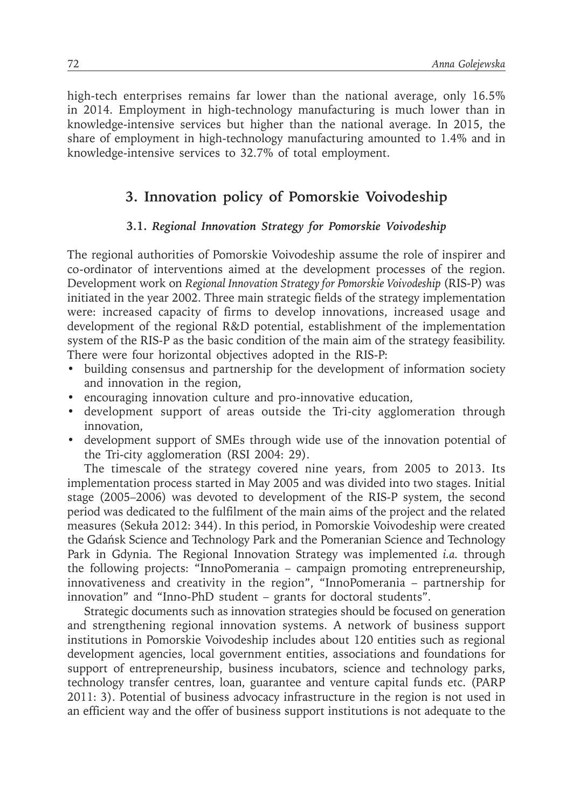high-tech enterprises remains far lower than the national average, only 16.5% in 2014. Employment in high-technology manufacturing is much lower than in knowledge-intensive services but higher than the national average. In 2015, the share of employment in high-technology manufacturing amounted to 1.4% and in knowledge-intensive services to 32.7% of total employment.

## **3. Innovation policy of Pomorskie Voivodeship**

#### **3.1.** *Regional Innovation Strategy for Pomorskie Voivodeship*

The regional authorities of Pomorskie Voivodeship assume the role of inspirer and co-ordinator of interventions aimed at the development processes of the region. Development work on *Regional Innovation Strategy for Pomorskie Voivodeship* (RIS-P) was initiated in the year 2002. Three main strategic fields of the strategy implementation were: increased capacity of firms to develop innovations, increased usage and development of the regional R&D potential, establishment of the implementation system of the RIS-P as the basic condition of the main aim of the strategy feasibility. There were four horizontal objectives adopted in the RIS-P:

- building consensus and partnership for the development of information society and innovation in the region,
- encouraging innovation culture and pro-innovative education,
- development support of areas outside the Tri-city agglomeration through innovation,
- development support of SMEs through wide use of the innovation potential of the Tri-city agglomeration (RSI 2004: 29).

The timescale of the strategy covered nine years, from 2005 to 2013. Its implementation process started in May 2005 and was divided into two stages. Initial stage (2005–2006) was devoted to development of the RIS-P system, the second period was dedicated to the fulfilment of the main aims of the project and the related measures (Sekuła 2012: 344). In this period, in Pomorskie Voivodeship were created the Gdańsk Science and Technology Park and the Pomeranian Science and Technology Park in Gdynia. The Regional Innovation Strategy was implemented *i.a.* through the following projects: "InnoPomerania – campaign promoting entrepreneurship, innovativeness and creativity in the region", "InnoPomerania – partnership for innovation" and "Inno-PhD student – grants for doctoral students".

Strategic documents such as innovation strategies should be focused on generation and strengthening regional innovation systems. A network of business support institutions in Pomorskie Voivodeship includes about 120 entities such as regional development agencies, local government entities, associations and foundations for support of entrepreneurship, business incubators, science and technology parks, technology transfer centres, loan, guarantee and venture capital funds etc. (PARP 2011: 3). Potential of business advocacy infrastructure in the region is not used in an efficient way and the offer of business support institutions is not adequate to the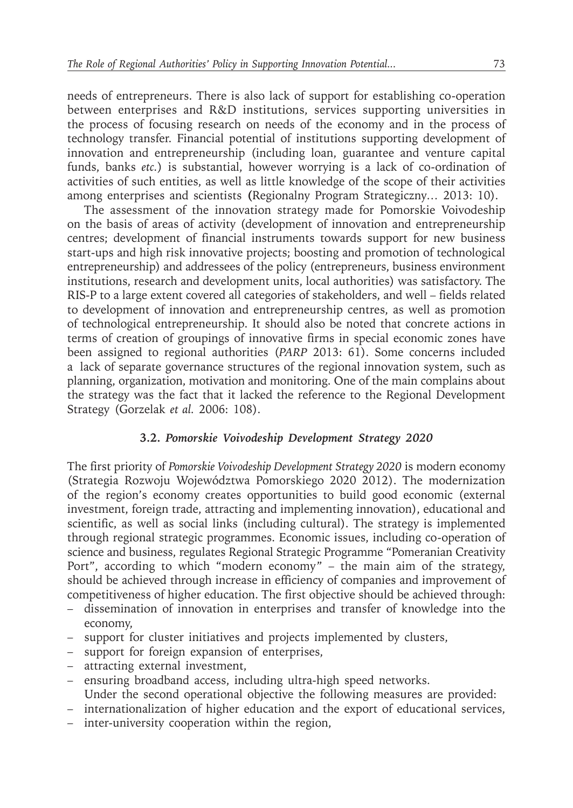needs of entrepreneurs. There is also lack of support for establishing co-operation between enterprises and R&D institutions, services supporting universities in the process of focusing research on needs of the economy and in the process of technology transfer. Financial potential of institutions supporting development of innovation and entrepreneurship (including loan, guarantee and venture capital funds, banks *etc.*) is substantial, however worrying is a lack of co-ordination of activities of such entities, as well as little knowledge of the scope of their activities among enterprises and scientists **(**Regionalny Program Strategiczny*…* 2013: 10).

The assessment of the innovation strategy made for Pomorskie Voivodeship on the basis of areas of activity (development of innovation and entrepreneurship centres; development of financial instruments towards support for new business start-ups and high risk innovative projects; boosting and promotion of technological entrepreneurship) and addressees of the policy (entrepreneurs, business environment institutions, research and development units, local authorities) was satisfactory. The RIS-P to a large extent covered all categories of stakeholders, and well – fields related to development of innovation and entrepreneurship centres, as well as promotion of technological entrepreneurship. It should also be noted that concrete actions in terms of creation of groupings of innovative firms in special economic zones have been assigned to regional authorities (*PARP* 2013: 61). Some concerns included a lack of separate governance structures of the regional innovation system, such as planning, organization, motivation and monitoring. One of the main complains about the strategy was the fact that it lacked the reference to the Regional Development Strategy (Gorzelak *et al.* 2006: 108).

#### **3.2.** *Pomorskie Voivodeship Development Strategy 2020*

The first priority of *Pomorskie Voivodeship Development Strategy 2020* is modern economy (Strategia Rozwoju Województwa Pomorskiego 2020 2012). The modernization of the region's economy creates opportunities to build good economic (external investment, foreign trade, attracting and implementing innovation), educational and scientific, as well as social links (including cultural). The strategy is implemented through regional strategic programmes. Economic issues, including co-operation of science and business, regulates Regional Strategic Programme "Pomeranian Creativity Port", according to which "modern economy" – the main aim of the strategy, should be achieved through increase in efficiency of companies and improvement of competitiveness of higher education. The first objective should be achieved through:

- dissemination of innovation in enterprises and transfer of knowledge into the economy,
- support for cluster initiatives and projects implemented by clusters,
- support for foreign expansion of enterprises,
- attracting external investment,
- ensuring broadband access, including ultra-high speed networks. Under the second operational objective the following measures are provided:
- internationalization of higher education and the export of educational services,
- inter-university cooperation within the region,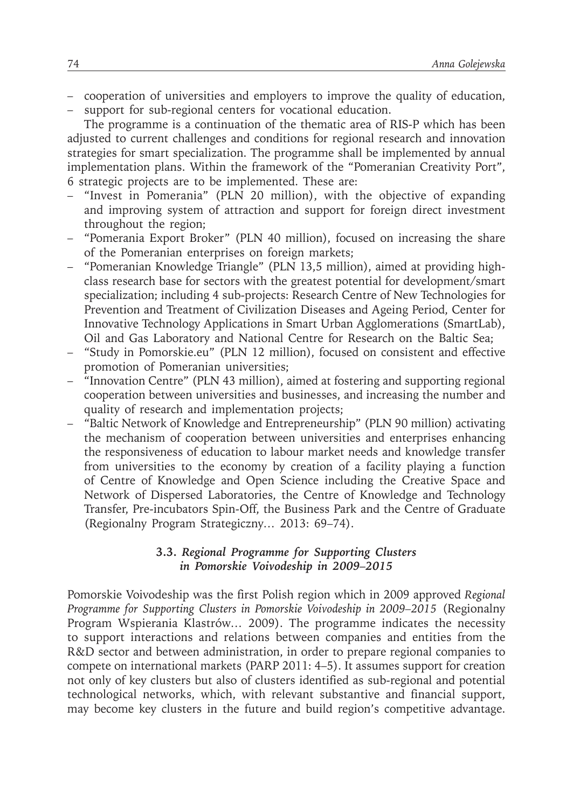- cooperation of universities and employers to improve the quality of education,
- support for sub-regional centers for vocational education.

The programme is a continuation of the thematic area of RIS-P which has been adjusted to current challenges and conditions for regional research and innovation strategies for smart specialization. The programme shall be implemented by annual implementation plans. Within the framework of the "Pomeranian Creativity Port", 6 strategic projects are to be implemented. These are:

- "Invest in Pomerania" (PLN 20 million), with the objective of expanding and improving system of attraction and support for foreign direct investment throughout the region;
- "Pomerania Export Broker" (PLN 40 million), focused on increasing the share of the Pomeranian enterprises on foreign markets;
- "Pomeranian Knowledge Triangle" (PLN 13,5 million), aimed at providing highclass research base for sectors with the greatest potential for development/smart specialization; including 4 sub-projects: Research Centre of New Technologies for Prevention and Treatment of Civilization Diseases and Ageing Period, Center for Innovative Technology Applications in Smart Urban Agglomerations (SmartLab), Oil and Gas Laboratory and National Centre for Research on the Baltic Sea;
- "Study in Pomorskie.eu" (PLN 12 million), focused on consistent and effective promotion of Pomeranian universities;
- "Innovation Centre" (PLN 43 million), aimed at fostering and supporting regional cooperation between universities and businesses, and increasing the number and quality of research and implementation projects;
- "Baltic Network of Knowledge and Entrepreneurship" (PLN 90 million) activating the mechanism of cooperation between universities and enterprises enhancing the responsiveness of education to labour market needs and knowledge transfer from universities to the economy by creation of a facility playing a function of Centre of Knowledge and Open Science including the Creative Space and Network of Dispersed Laboratories, the Centre of Knowledge and Technology Transfer, Pre-incubators Spin-Off, the Business Park and the Centre of Graduate (Regionalny Program Strategiczny*…* 2013: 69–74).

#### **3.3.** *Regional Programme for Supporting Clusters in Pomorskie Voivodeship in 2009–2015*

Pomorskie Voivodeship was the first Polish region which in 2009 approved *Regional Programme for Supporting Clusters in Pomorskie Voivodeship in 2009–2015* (Regionalny Program Wspierania Klastrów*…* 2009). The programme indicates the necessity to support interactions and relations between companies and entities from the R&D sector and between administration, in order to prepare regional companies to compete on international markets (PARP 2011: 4–5). It assumes support for creation not only of key clusters but also of clusters identified as sub-regional and potential technological networks, which, with relevant substantive and financial support, may become key clusters in the future and build region's competitive advantage.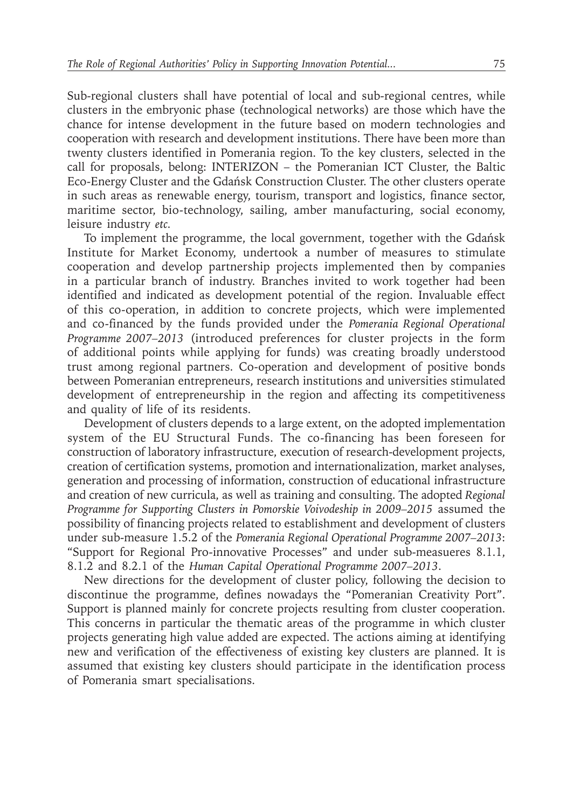Sub-regional clusters shall have potential of local and sub-regional centres, while clusters in the embryonic phase (technological networks) are those which have the chance for intense development in the future based on modern technologies and cooperation with research and development institutions. There have been more than twenty clusters identified in Pomerania region. To the key clusters, selected in the call for proposals, belong: INTERIZON – the Pomeranian ICT Cluster, the Baltic Eco-Energy Cluster and the Gdańsk Construction Cluster. The other clusters operate in such areas as renewable energy, tourism, transport and logistics, finance sector, maritime sector, bio-technology, sailing, amber manufacturing, social economy, leisure industry *etc.*

To implement the programme, the local government, together with the Gdańsk Institute for Market Economy, undertook a number of measures to stimulate cooperation and develop partnership projects implemented then by companies in a particular branch of industry. Branches invited to work together had been identified and indicated as development potential of the region. Invaluable effect of this co-operation, in addition to concrete projects, which were implemented and co-financed by the funds provided under the *Pomerania Regional Operational Programme 2007–2013* (introduced preferences for cluster projects in the form of additional points while applying for funds) was creating broadly understood trust among regional partners. Co-operation and development of positive bonds between Pomeranian entrepreneurs, research institutions and universities stimulated development of entrepreneurship in the region and affecting its competitiveness and quality of life of its residents.

Development of clusters depends to a large extent, on the adopted implementation system of the EU Structural Funds. The co-financing has been foreseen for construction of laboratory infrastructure, execution of research-development projects, creation of certification systems, promotion and internationalization, market analyses, generation and processing of information, construction of educational infrastructure and creation of new curricula, as well as training and consulting. The adopted *Regional Programme for Supporting Clusters in Pomorskie Voivodeship in 2009–2015* assumed the possibility of financing projects related to establishment and development of clusters under sub-measure 1.5.2 of the *Pomerania Regional Operational Programme 2007–2013*: "Support for Regional Pro-innovative Processes" and under sub-measueres 8.1.1, 8.1.2 and 8.2.1 of the *Human Capital Operational Programme 2007–2013*.

New directions for the development of cluster policy, following the decision to discontinue the programme, defines nowadays the "Pomeranian Creativity Port". Support is planned mainly for concrete projects resulting from cluster cooperation. This concerns in particular the thematic areas of the programme in which cluster projects generating high value added are expected. The actions aiming at identifying new and verification of the effectiveness of existing key clusters are planned. It is assumed that existing key clusters should participate in the identification process of Pomerania smart specialisations.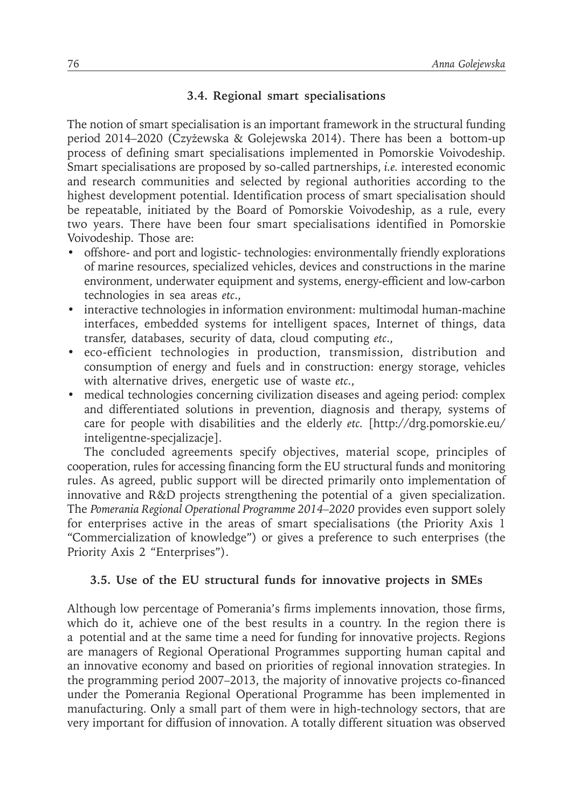#### **3.4. Regional smart specialisations**

The notion of smart specialisation is an important framework in the structural funding period 2014–2020 (Czyżewska & Golejewska 2014). There has been a bottom-up process of defining smart specialisations implemented in Pomorskie Voivodeship. Smart specialisations are proposed by so-called partnerships, *i.e.* interested economic and research communities and selected by regional authorities according to the highest development potential. Identification process of smart specialisation should be repeatable, initiated by the Board of Pomorskie Voivodeship, as a rule, every two years. There have been four smart specialisations identified in Pomorskie Voivodeship. Those are:

- offshore- and port and logistic- technologies: environmentally friendly explorations of marine resources, specialized vehicles, devices and constructions in the marine environment, underwater equipment and systems, energy-efficient and low-carbon technologies in sea areas *etc*.,
- interactive technologies in information environment: multimodal human-machine interfaces, embedded systems for intelligent spaces, Internet of things, data transfer, databases, security of data, cloud computing *etc*.,
- eco-efficient technologies in production, transmission, distribution and consumption of energy and fuels and in construction: energy storage, vehicles with alternative drives, energetic use of waste *etc.*,
- medical technologies concerning civilization diseases and ageing period: complex and differentiated solutions in prevention, diagnosis and therapy, systems of care for people with disabilities and the elderly *etc.* [http://drg.pomorskie.eu/ inteligentne-specjalizacje].

The concluded agreements specify objectives, material scope, principles of cooperation, rules for accessing financing form the EU structural funds and monitoring rules. As agreed, public support will be directed primarily onto implementation of innovative and R&D projects strengthening the potential of a given specialization. The *Pomerania Regional Operational Programme 2014–2020* provides even support solely for enterprises active in the areas of smart specialisations (the Priority Axis 1 "Commercialization of knowledge") or gives a preference to such enterprises (the Priority Axis 2 "Enterprises").

#### **3.5. Use of the EU structural funds for innovative projects in SMEs**

Although low percentage of Pomerania's firms implements innovation, those firms, which do it, achieve one of the best results in a country. In the region there is a potential and at the same time a need for funding for innovative projects. Regions are managers of Regional Operational Programmes supporting human capital and an innovative economy and based on priorities of regional innovation strategies. In the programming period 2007–2013, the majority of innovative projects co-financed under the Pomerania Regional Operational Programme has been implemented in manufacturing. Only a small part of them were in high-technology sectors, that are very important for diffusion of innovation. A totally different situation was observed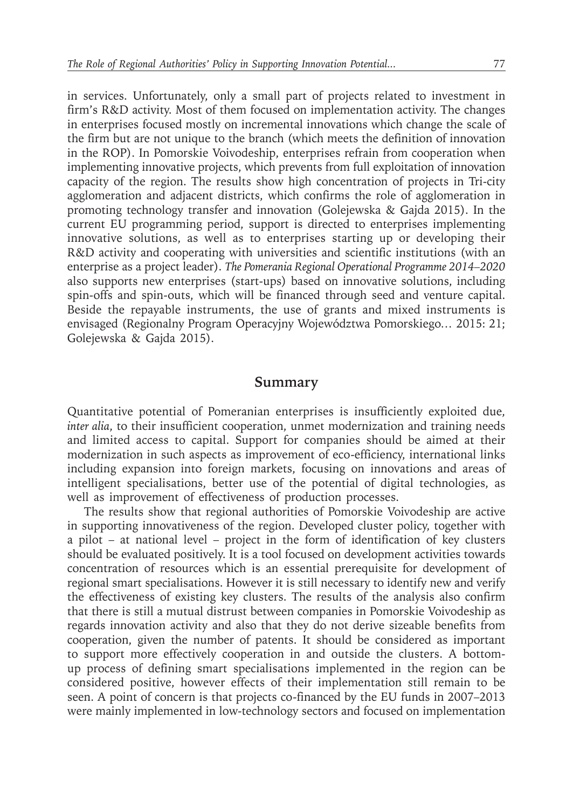in services. Unfortunately, only a small part of projects related to investment in firm's R&D activity. Most of them focused on implementation activity. The changes in enterprises focused mostly on incremental innovations which change the scale of the firm but are not unique to the branch (which meets the definition of innovation in the ROP). In Pomorskie Voivodeship, enterprises refrain from cooperation when implementing innovative projects, which prevents from full exploitation of innovation capacity of the region. The results show high concentration of projects in Tri-city agglomeration and adjacent districts, which confirms the role of agglomeration in promoting technology transfer and innovation (Golejewska & Gajda 2015). In the current EU programming period, support is directed to enterprises implementing innovative solutions, as well as to enterprises starting up or developing their R&D activity and cooperating with universities and scientific institutions (with an enterprise as a project leader). *The Pomerania Regional Operational Programme 2014–2020* also supports new enterprises (start-ups) based on innovative solutions, including spin-offs and spin-outs, which will be financed through seed and venture capital. Beside the repayable instruments, the use of grants and mixed instruments is envisaged (Regionalny Program Operacyjny Województwa Pomorskiego*…* 2015: 21; Golejewska & Gajda 2015).

#### **Summary**

Quantitative potential of Pomeranian enterprises is insufficiently exploited due, *inter alia*, to their insufficient cooperation, unmet modernization and training needs and limited access to capital. Support for companies should be aimed at their modernization in such aspects as improvement of eco-efficiency, international links including expansion into foreign markets, focusing on innovations and areas of intelligent specialisations, better use of the potential of digital technologies, as well as improvement of effectiveness of production processes.

The results show that regional authorities of Pomorskie Voivodeship are active in supporting innovativeness of the region. Developed cluster policy, together with a pilot – at national level – project in the form of identification of key clusters should be evaluated positively. It is a tool focused on development activities towards concentration of resources which is an essential prerequisite for development of regional smart specialisations. However it is still necessary to identify new and verify the effectiveness of existing key clusters. The results of the analysis also confirm that there is still a mutual distrust between companies in Pomorskie Voivodeship as regards innovation activity and also that they do not derive sizeable benefits from cooperation, given the number of patents. It should be considered as important to support more effectively cooperation in and outside the clusters. A bottomup process of defining smart specialisations implemented in the region can be considered positive, however effects of their implementation still remain to be seen. A point of concern is that projects co-financed by the EU funds in 2007–2013 were mainly implemented in low-technology sectors and focused on implementation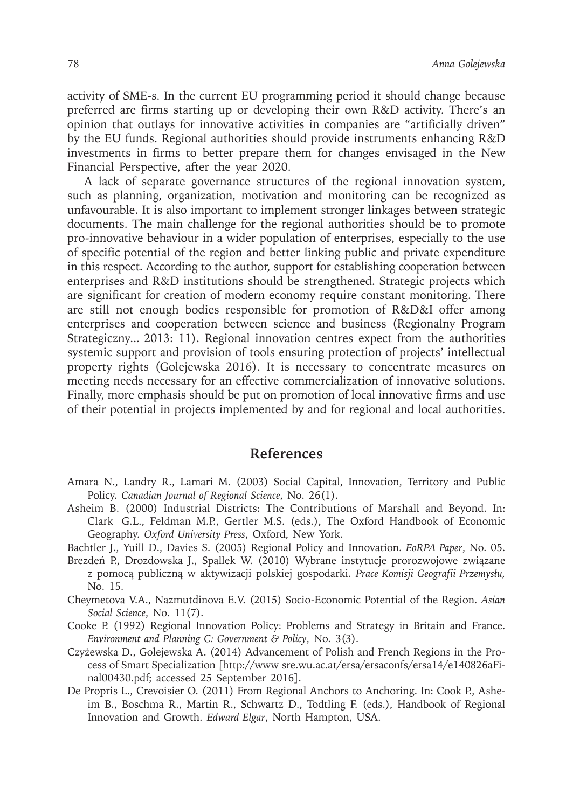activity of SME-s. In the current EU programming period it should change because preferred are firms starting up or developing their own R&D activity. There's an opinion that outlays for innovative activities in companies are "artificially driven" by the EU funds. Regional authorities should provide instruments enhancing R&D investments in firms to better prepare them for changes envisaged in the New Financial Perspective, after the year 2020.

A lack of separate governance structures of the regional innovation system, such as planning, organization, motivation and monitoring can be recognized as unfavourable. It is also important to implement stronger linkages between strategic documents. The main challenge for the regional authorities should be to promote pro-innovative behaviour in a wider population of enterprises, especially to the use of specific potential of the region and better linking public and private expenditure in this respect. According to the author, support for establishing cooperation between enterprises and R&D institutions should be strengthened. Strategic projects which are significant for creation of modern economy require constant monitoring. There are still not enough bodies responsible for promotion of R&D&I offer among enterprises and cooperation between science and business (Regionalny Program Strategiczny*...* 2013: 11). Regional innovation centres expect from the authorities systemic support and provision of tools ensuring protection of projects' intellectual property rights (Golejewska 2016). It is necessary to concentrate measures on meeting needs necessary for an effective commercialization of innovative solutions. Finally, more emphasis should be put on promotion of local innovative firms and use of their potential in projects implemented by and for regional and local authorities.

#### **References**

- Amara N., Landry R., Lamari M. (2003) Social Capital, Innovation, Territory and Public Policy. *Canadian Journal of Regional Science*, No. 26(1).
- Asheim B. (2000) Industrial Districts: The Contributions of Marshall and Beyond. In: Clark G.L., Feldman M.P., Gertler M.S. (eds.), The Oxford Handbook of Economic Geography. *Oxford University Press*, Oxford, New York.
- Bachtler J., Yuill D., Davies S. (2005) Regional Policy and Innovation. *EoRPA Paper*, No. 05.
- Brezdeń P., Drozdowska J., Spallek W. (2010) Wybrane instytucje prorozwojowe związane z pomocą publiczną w aktywizacji polskiej gospodarki. *Prace Komisji Geografii Przemysłu,*  No. 15.
- Cheymetova V.A., Nazmutdinova E.V. (2015) Socio-Economic Potential of the Region. *Asian Social Science*, No. 11(7).
- Cooke P. (1992) Regional Innovation Policy: Problems and Strategy in Britain and France. *Environment and Planning C: Government & Policy*, No. 3(3).
- Czyżewska D., Golejewska A. (2014) Advancement of Polish and French Regions in the Process of Smart Specialization [http://www sre.wu.ac.at/ersa/ersaconfs/ersa14/e140826aFinal00430.pdf; accessed 25 September 2016].
- De Propris L., Crevoisier O. (2011) From Regional Anchors to Anchoring. In: Cook P., Asheim B., Boschma R., Martin R., Schwartz D., Todtling F. (eds.), Handbook of Regional Innovation and Growth. *Edward Elgar*, North Hampton, USA.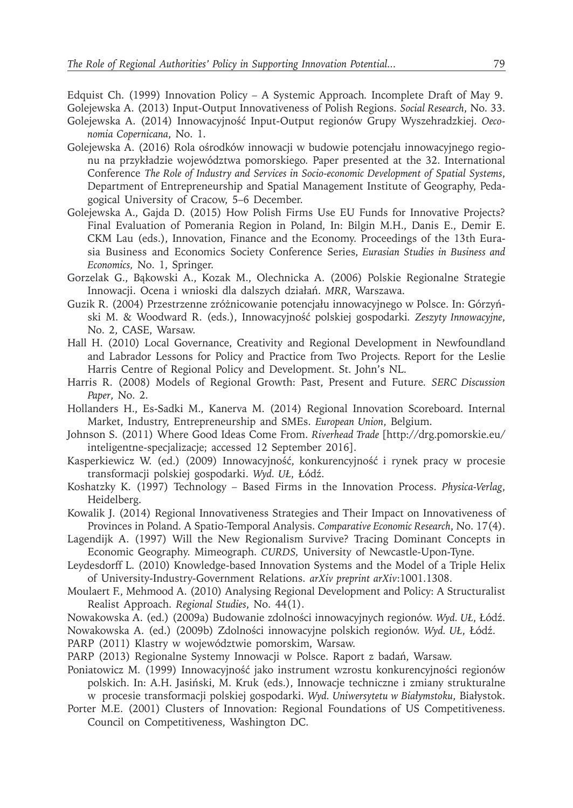Edquist Ch. (1999) Innovation Policy – A Systemic Approach*.* Incomplete Draft of May 9.

- Golejewska A. (2013) Input-Output Innovativeness of Polish Regions. *Social Research*, No. 33. Golejewska A. (2014) Innowacyjność Input-Output regionów Grupy Wyszehradzkiej. *Oeconomia Copernicana*, No. 1.
- Golejewska A. (2016) Rola ośrodków innowacji w budowie potencjału innowacyjnego regionu na przykładzie województwa pomorskiego*.* Paper presented at the 32. International Conference *The Role of Industry and Services in Socio-economic Development of Spatial Systems*, Department of Entrepreneurship and Spatial Management Institute of Geography, Pedagogical University of Cracow, 5–6 December.
- Golejewska A., Gajda D. (2015) How Polish Firms Use EU Funds for Innovative Projects? Final Evaluation of Pomerania Region in Poland, In: Bilgin M.H., Danis E., Demir E. CKM Lau (eds.), Innovation, Finance and the Economy. Proceedings of the 13th Eurasia Business and Economics Society Conference Series, *Eurasian Studies in Business and Economics,* No. 1, Springer.
- Gorzelak G., Bąkowski A., Kozak M., Olechnicka A. (2006) Polskie Regionalne Strategie Innowacji. Ocena i wnioski dla dalszych działań. *MRR*, Warszawa.
- Guzik R. (2004) Przestrzenne zróżnicowanie potencjału innowacyjnego w Polsce. In: Górzyński M. & Woodward R. (eds.), Innowacyjność polskiej gospodarki*. Zeszyty Innowacyjne*, No. 2, CASE, Warsaw.
- Hall H. (2010) Local Governance, Creativity and Regional Development in Newfoundland and Labrador Lessons for Policy and Practice from Two Projects*.* Report for the Leslie Harris Centre of Regional Policy and Development. St. John's NL.
- Harris R. (2008) Models of Regional Growth: Past, Present and Future*. SERC Discussion Paper*, No. 2.
- Hollanders H., Es-Sadki M., Kanerva M. (2014) Regional Innovation Scoreboard. Internal Market, Industry, Entrepreneurship and SMEs. *European Union*, Belgium.
- Johnson S. (2011) Where Good Ideas Come From. *Riverhead Trade* [http://drg.pomorskie.eu/ inteligentne-specjalizacje; accessed 12 September 2016].
- Kasperkiewicz W. (ed.) (2009) Innowacyjność, konkurencyjność i rynek pracy w procesie transformacji polskiej gospodarki. *Wyd. UŁ*, Łódź.
- Koshatzky K. (1997) Technology Based Firms in the Innovation Process. *Physica-Verlag*, Heidelberg.
- Kowalik J. (2014) Regional Innovativeness Strategies and Their Impact on Innovativeness of Provinces in Poland. A Spatio-Temporal Analysis. *Comparative Economic Research*, No. 17(4).
- Lagendijk A. (1997) Will the New Regionalism Survive? Tracing Dominant Concepts in Economic Geography. Mimeograph. *CURDS,* University of Newcastle-Upon-Tyne.
- Leydesdorff L. (2010) Knowledge-based Innovation Systems and the Model of a Triple Helix of University-Industry-Government Relations. *arXiv preprint arXiv*:1001.1308.
- Moulaert F., Mehmood A. (2010) Analysing Regional Development and Policy: A Structuralist Realist Approach. *Regional Studies*, No. 44(1).
- Nowakowska A. (ed.) (2009a) Budowanie zdolności innowacyjnych regionów. *Wyd. UŁ*, Łódź.
- Nowakowska A. (ed.) (2009b) Zdolności innowacyjne polskich regionów. *Wyd. UŁ*, Łódź.
- PARP (2011) Klastry w województwie pomorskim, Warsaw.
- PARP (2013) Regionalne Systemy Innowacji w Polsce. Raport z badań, Warsaw.
- Poniatowicz M. (1999) Innowacyjność jako instrument wzrostu konkurencyjności regionów polskich. In: A.H. Jasiński, M. Kruk (eds.), Innowacje techniczne i zmiany strukturalne
- w procesie transformacji polskiej gospodarki. *Wyd. Uniwersytetu w Białymstoku*, Białystok. Porter M.E. (2001) Clusters of Innovation: Regional Foundations of US Competitiveness.
	- Council on Competitiveness, Washington DC.